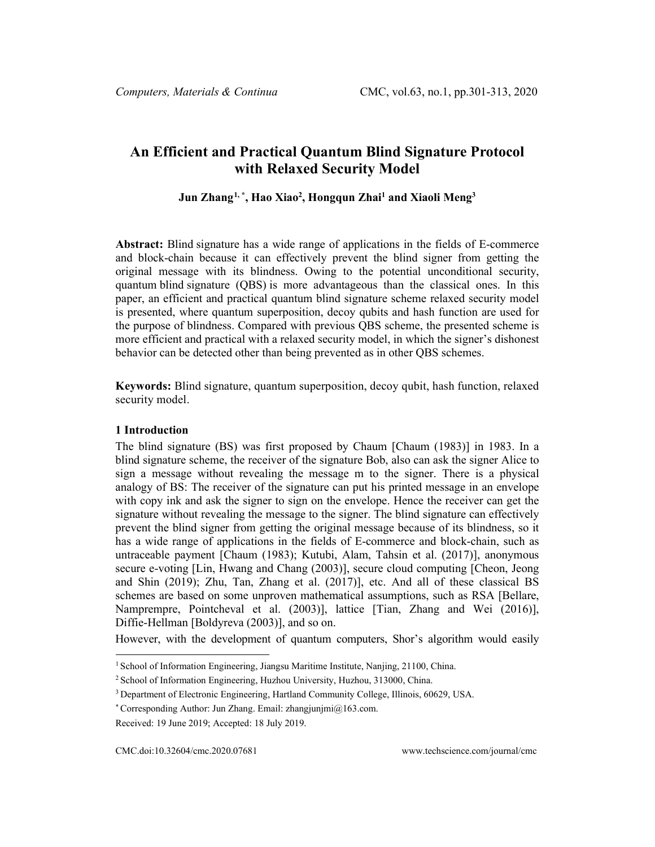# **An Efficient and Practical Quantum Blind Signature Protocol with Relaxed Security Model**

**Jun Zhang[1](#page-0-0), \*, Hao Xiao2 , Hongqun Zhai1 and Xiaoli Meng3**

**Abstract:** Blind signature has a wide range of applications in the fields of E-commerce and block-chain because it can effectively prevent the blind signer from getting the original message with its blindness. Owing to the potential unconditional security, quantum blind signature (QBS) is more advantageous than the classical ones. In this paper, an efficient and practical quantum blind signature scheme relaxed security model is presented, where quantum superposition, decoy qubits and hash function are used for the purpose of blindness. Compared with previous QBS scheme, the presented scheme is more efficient and practical with a relaxed security model, in which the signer's dishonest behavior can be detected other than being prevented as in other QBS schemes.

**Keywords:** Blind signature, quantum superposition, decoy qubit, hash function, relaxed security model.

# **1 Introduction**

The blind signature (BS) was first proposed by Chaum [Chaum (1983)] in 1983. In a blind signature scheme, the receiver of the signature Bob, also can ask the signer Alice to sign a message without revealing the message m to the signer. There is a physical analogy of BS: The receiver of the signature can put his printed message in an envelope with copy ink and ask the signer to sign on the envelope. Hence the receiver can get the signature without revealing the message to the signer. The blind signature can effectively prevent the blind signer from getting the original message because of its blindness, so it has a wide range of applications in the fields of E-commerce and block-chain, such as untraceable payment [Chaum (1983); Kutubi, Alam, Tahsin et al. (2017)], anonymous secure e-voting [Lin, Hwang and Chang (2003)], secure cloud computing [Cheon, Jeong and Shin (2019); Zhu, Tan, Zhang et al. (2017)], etc. And all of these classical BS schemes are based on some unproven mathematical assumptions, such as RSA [Bellare, Namprempre, Pointcheval et al. (2003)], lattice [Tian, Zhang and Wei (2016)], Diffie-Hellman [Boldyreva (2003)], and so on.

However, with the development of quantum computers, Shor's algorithm would easily

<span id="page-0-0"></span><sup>&</sup>lt;sup>1</sup> School of Information Engineering, Jiangsu Maritime Institute, Nanjing, 21100, China.

<sup>2</sup> School of Information Engineering, Huzhou University, Huzhou, 313000, China.

<sup>3</sup> Department of Electronic Engineering, Hartland Community College, Illinois, 60629, USA.

<sup>\*</sup> Corresponding Author: Jun Zhang. Email: zhangjunjmi@163.com.

Received: 19 June 2019; Accepted: 18 July 2019.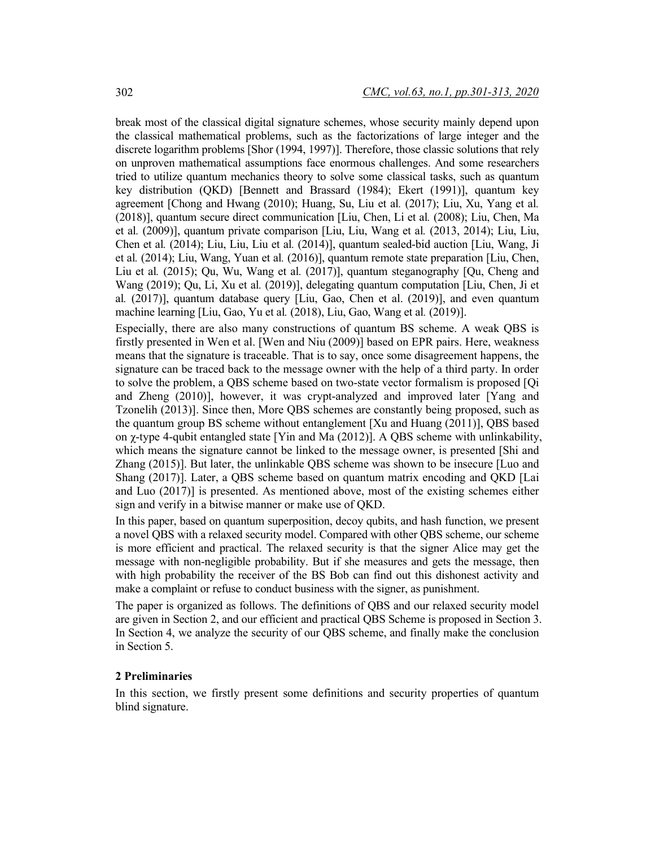break most of the classical digital signature schemes, whose security mainly depend upon the classical mathematical problems, such as the factorizations of large integer and the discrete logarithm problems [Shor (1994, 1997)]. Therefore, those classic solutions that rely on unproven mathematical assumptions face enormous challenges. And some researchers tried to utilize quantum mechanics theory to solve some classical tasks, such as quantum key distribution (QKD) [Bennett and Brassard (1984); Ekert (1991)], quantum key agreement [Chong and Hwang (2010); Huang, Su, Liu et al*.* (2017); Liu, Xu, Yang et al*.* (2018)], quantum secure direct communication [Liu, Chen, Li et al*.* (2008); Liu, Chen, Ma et al*.* (2009)], quantum private comparison [Liu, Liu, Wang et al*.* (2013, 2014); Liu, Liu, Chen et al*.* (2014); Liu, Liu, Liu et al*.* (2014)], quantum sealed-bid auction [Liu, Wang, Ji et al*.* (2014); Liu, Wang, Yuan et al*.* (2016)], quantum remote state preparation [Liu, Chen, Liu et al*.* (2015); Qu, Wu, Wang et al*.* (2017)], quantum steganography [Qu, Cheng and Wang (2019); Qu, Li, Xu et al*.* (2019)], delegating quantum computation [Liu, Chen, Ji et al*.* (2017)], quantum database query [Liu, Gao, Chen et al. (2019)], and even quantum machine learning [Liu, Gao, Yu et al*.* (2018), Liu, Gao, Wang et al*.* (2019)].

Especially, there are also many constructions of quantum BS scheme. A weak QBS is firstly presented in Wen et al. [Wen and Niu (2009)] based on EPR pairs. Here, weakness means that the signature is traceable. That is to say, once some disagreement happens, the signature can be traced back to the message owner with the help of a third party. In order to solve the problem, a QBS scheme based on two-state vector formalism is proposed [Qi and Zheng (2010)], however, it was crypt-analyzed and improved later [Yang and Tzonelih (2013)]. Since then, More QBS schemes are constantly being proposed, such as the quantum group BS scheme without entanglement [Xu and Huang (2011)], QBS based on  $\gamma$ -type 4-qubit entangled state [Yin and Ma (2012)]. A OBS scheme with unlinkability, which means the signature cannot be linked to the message owner, is presented [Shi and Zhang (2015)]. But later, the unlinkable QBS scheme was shown to be insecure [Luo and Shang (2017)]. Later, a QBS scheme based on quantum matrix encoding and QKD [Lai and Luo (2017)] is presented. As mentioned above, most of the existing schemes either sign and verify in a bitwise manner or make use of QKD.

In this paper, based on quantum superposition, decoy qubits, and hash function, we present a novel QBS with a relaxed security model. Compared with other QBS scheme, our scheme is more efficient and practical. The relaxed security is that the signer Alice may get the message with non-negligible probability. But if she measures and gets the message, then with high probability the receiver of the BS Bob can find out this dishonest activity and make a complaint or refuse to conduct business with the signer, as punishment.

The paper is organized as follows. The definitions of QBS and our relaxed security model are given in Section 2, and our efficient and practical QBS Scheme is proposed in Section 3. In Section 4, we analyze the security of our QBS scheme, and finally make the conclusion in Section 5.

### **2 Preliminaries**

In this section, we firstly present some definitions and security properties of quantum blind signature.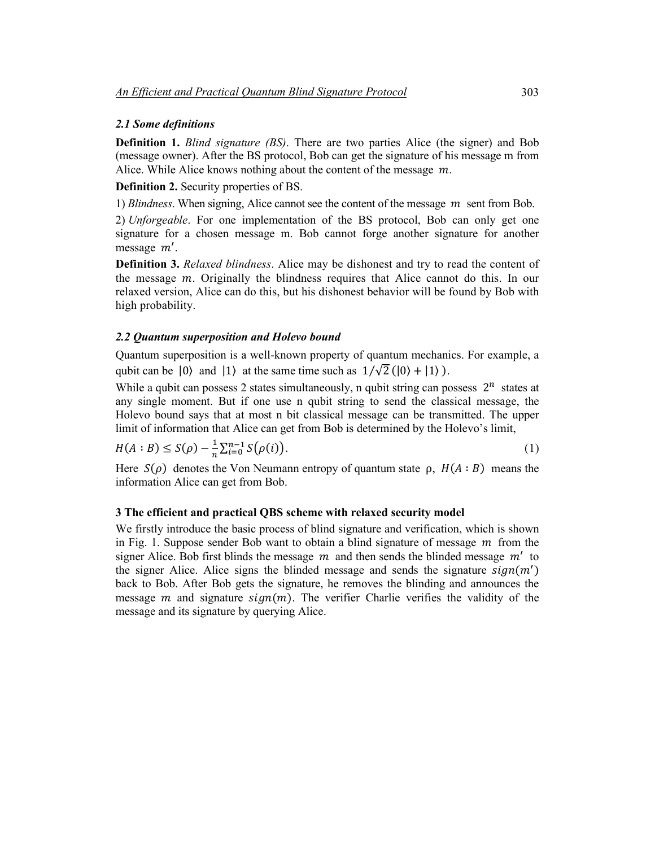#### *2.1 Some definitions*

**Definition 1.** *Blind signature (BS)*. There are two parties Alice (the signer) and Bob (message owner). After the BS protocol, Bob can get the signature of his message m from Alice. While Alice knows nothing about the content of the message  $m$ .

**Definition 2.** Security properties of BS.

1) *Blindness*. When signing, Alice cannot see the content of the message  $m$  sent from Bob.

2) *Unforgeable*. For one implementation of the BS protocol, Bob can only get one signature for a chosen message m. Bob cannot forge another signature for another message m'.

**Definition 3.** *Relaxed blindness*. Alice may be dishonest and try to read the content of the message  $m$ . Originally the blindness requires that Alice cannot do this. In our relaxed version, Alice can do this, but his dishonest behavior will be found by Bob with high probability.

# *2.2 Quantum superposition and Holevo bound*

Quantum superposition is a well-known property of quantum mechanics. For example, a qubit can be  $|0\rangle$  and  $|1\rangle$  at the same time such as  $1/\sqrt{2}$  ( $|0\rangle + |1\rangle$ ).

While a qubit can possess 2 states simultaneously, n qubit string can possess  $2^n$  states at any single moment. But if one use n qubit string to send the classical message, the Holevo bound says that at most n bit classical message can be transmitted. The upper limit of information that Alice can get from Bob is determined by the Holevo's limit,

$$
H(A:B) \le S(\rho) - \frac{1}{n} \sum_{i=0}^{n-1} S(\rho(i)).
$$
\n(1)

Here  $S(\rho)$  denotes the Von Neumann entropy of quantum state  $\rho$ ,  $H(A : B)$  means the information Alice can get from Bob.

#### **3 The efficient and practical QBS scheme with relaxed security model**

We firstly introduce the basic process of blind signature and verification, which is shown in Fig. 1. Suppose sender Bob want to obtain a blind signature of message  $m$  from the signer Alice. Bob first blinds the message  $m$  and then sends the blinded message  $m'$  to the signer Alice. Alice signs the blinded message and sends the signature  $sign(m')$ back to Bob. After Bob gets the signature, he removes the blinding and announces the message *m* and signature  $sign(m)$ . The verifier Charlie verifies the validity of the message and its signature by querying Alice.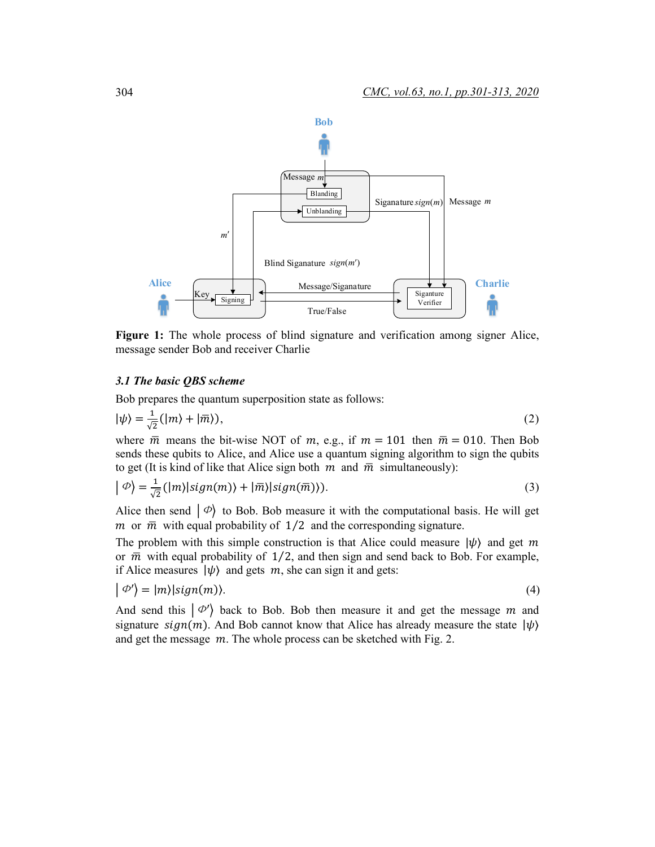

**Figure 1:** The whole process of blind signature and verification among signer Alice, message sender Bob and receiver Charlie

#### *3.1 The basic QBS scheme*

Bob prepares the quantum superposition state as follows:

$$
|\psi\rangle = \frac{1}{\sqrt{2}} (|m\rangle + |\overline{m}\rangle), \tag{2}
$$

where  $\bar{m}$  means the bit-wise NOT of m, e.g., if  $m = 101$  then  $\bar{m} = 010$ . Then Bob sends these qubits to Alice, and Alice use a quantum signing algorithm to sign the qubits to get (It is kind of like that Alice sign both  $m$  and  $\overline{m}$  simultaneously):

$$
|\Phi\rangle = \frac{1}{\sqrt{2}} (|m\rangle | sign(m)\rangle + |\overline{m}\rangle | sign(\overline{m})\rangle).
$$
 (3)

Alice then send  $\ket{\phi}$  to Bob. Bob measure it with the computational basis. He will get  $m$  or  $\overline{m}$  with equal probability of 1/2 and the corresponding signature.

The problem with this simple construction is that Alice could measure  $|\psi\rangle$  and get m or  $\bar{m}$  with equal probability of 1/2, and then sign and send back to Bob. For example, if Alice measures  $|\psi\rangle$  and gets  $m$ , she can sign it and gets:

$$
|\varPhi'\rangle = |m\rangle|\text{sign}(m)\rangle. \tag{4}
$$

And send this  $\ket{\phi'}$  back to Bob. Bob then measure it and get the message m and signature  $sign(m)$ . And Bob cannot know that Alice has already measure the state  $|\psi\rangle$ and get the message  $m$ . The whole process can be sketched with Fig. 2.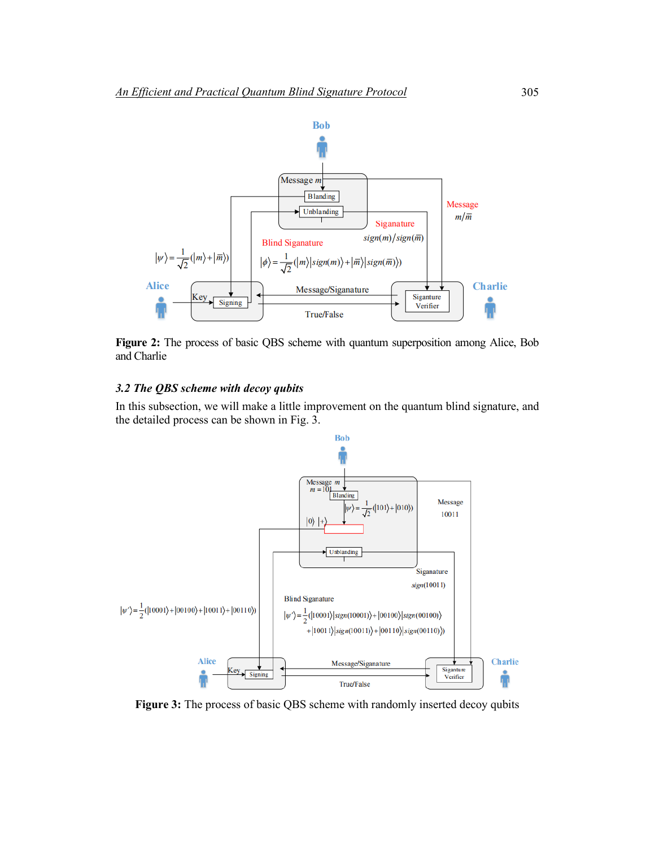

**Figure 2:** The process of basic QBS scheme with quantum superposition among Alice, Bob and Charlie

# *3.2 The QBS scheme with decoy qubits*

In this subsection, we will make a little improvement on the quantum blind signature, and the detailed process can be shown in Fig. 3.



**Figure 3:** The process of basic QBS scheme with randomly inserted decoy qubits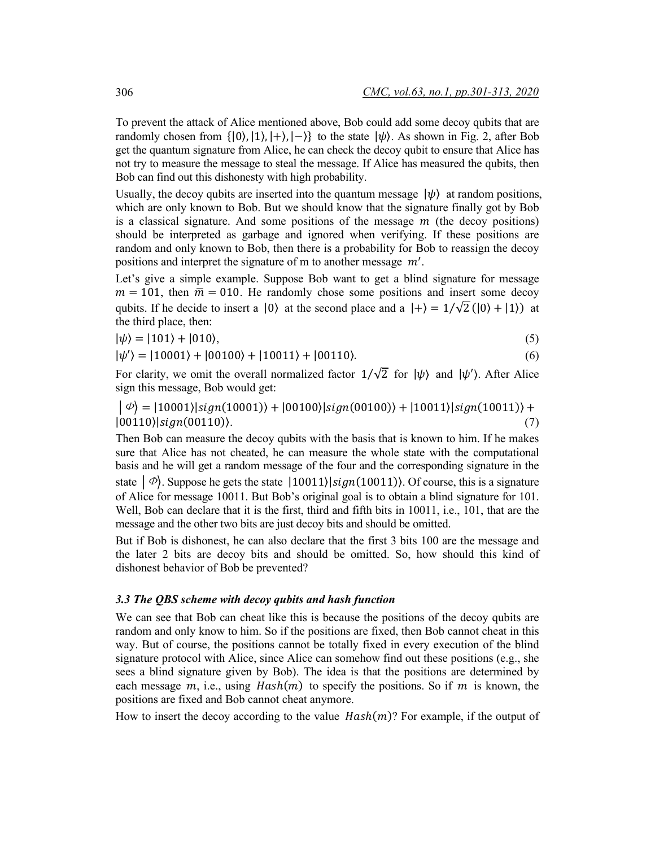To prevent the attack of Alice mentioned above, Bob could add some decoy qubits that are randomly chosen from  $\{|0\rangle, |1\rangle, |+\rangle, |-\rangle\}$  to the state  $|\psi\rangle$ . As shown in Fig. 2, after Bob get the quantum signature from Alice, he can check the decoy qubit to ensure that Alice has not try to measure the message to steal the message. If Alice has measured the qubits, then Bob can find out this dishonesty with high probability.

Usually, the decoy qubits are inserted into the quantum message  $|\psi\rangle$  at random positions, which are only known to Bob. But we should know that the signature finally got by Bob is a classical signature. And some positions of the message  $m$  (the decoy positions) should be interpreted as garbage and ignored when verifying. If these positions are random and only known to Bob, then there is a probability for Bob to reassign the decoy positions and interpret the signature of m to another message  $m'$ .

Let's give a simple example. Suppose Bob want to get a blind signature for message  $m = 101$ , then  $\overline{m} = 010$ . He randomly chose some positions and insert some decoy qubits. If he decide to insert a  $|0\rangle$  at the second place and a  $|+\rangle = 1/\sqrt{2}$  ( $|0\rangle + |1\rangle$ ) at the third place, then:

$$
|\psi\rangle = |101\rangle + |010\rangle,\tag{5}
$$

$$
|\psi'\rangle = |10001\rangle + |00100\rangle + |10011\rangle + |00110\rangle. \tag{6}
$$

For clarity, we omit the overall normalized factor  $1/\sqrt{2}$  for  $|\psi\rangle$  and  $|\psi'\rangle$ . After Alice sign this message, Bob would get:

 $|\phi\rangle = |10001\rangle |sign(10001)\rangle + |00100\rangle |sign(00100)\rangle + |10011\rangle |sign(10011)\rangle +$  $|00110\rangle|sign(00110)\rangle.$  (7)

Then Bob can measure the decoy qubits with the basis that is known to him. If he makes sure that Alice has not cheated, he can measure the whole state with the computational basis and he will get a random message of the four and the corresponding signature in the state  $\ket{\phi}$ . Suppose he gets the state  $\ket{10011}\$ sign(10011)). Of course, this is a signature of Alice for message 10011. But Bob's original goal is to obtain a blind signature for 101. Well, Bob can declare that it is the first, third and fifth bits in 10011, i.e., 101, that are the message and the other two bits are just decoy bits and should be omitted.

But if Bob is dishonest, he can also declare that the first 3 bits 100 are the message and the later 2 bits are decoy bits and should be omitted. So, how should this kind of dishonest behavior of Bob be prevented?

# *3.3 The QBS scheme with decoy qubits and hash function*

We can see that Bob can cheat like this is because the positions of the decoy qubits are random and only know to him. So if the positions are fixed, then Bob cannot cheat in this way. But of course, the positions cannot be totally fixed in every execution of the blind signature protocol with Alice, since Alice can somehow find out these positions (e.g., she sees a blind signature given by Bob). The idea is that the positions are determined by each message  $m$ , i.e., using  $Hash(m)$  to specify the positions. So if  $m$  is known, the positions are fixed and Bob cannot cheat anymore.

How to insert the decoy according to the value  $Hash(m)$ ? For example, if the output of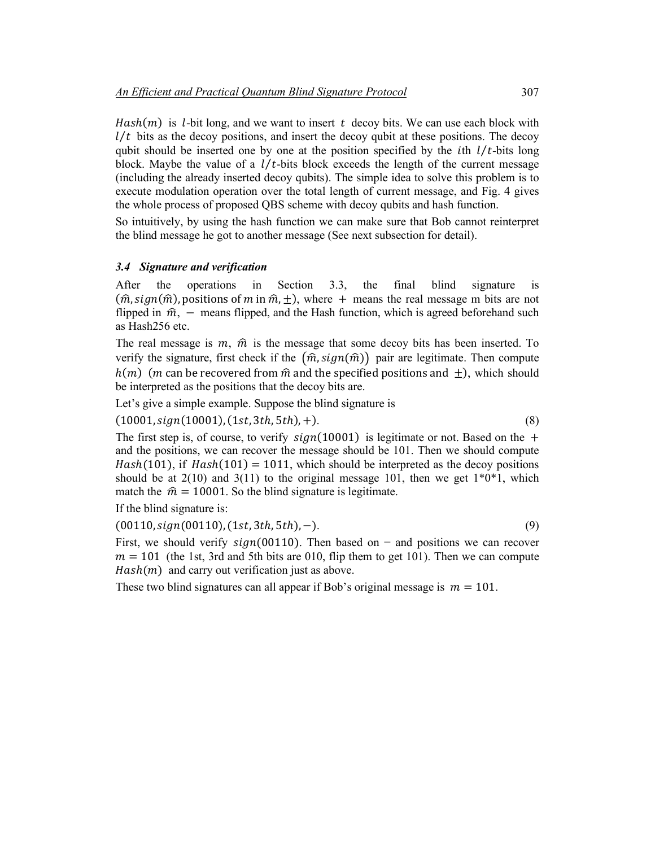$Hash(m)$  is *l*-bit long, and we want to insert t decoy bits. We can use each block with  $l/t$  bits as the decoy positions, and insert the decoy qubit at these positions. The decoy qubit should be inserted one by one at the position specified by the *i*th  $l/t$ -bits long block. Maybe the value of a  $l/t$ -bits block exceeds the length of the current message (including the already inserted decoy qubits). The simple idea to solve this problem is to execute modulation operation over the total length of current message, and Fig. 4 gives the whole process of proposed QBS scheme with decoy qubits and hash function.

So intuitively, by using the hash function we can make sure that Bob cannot reinterpret the blind message he got to another message (See next subsection for detail).

# *3.4 Signature and verification*

After the operations in Section 3.3, the final blind signature is  $(\hat{m}, sign(\hat{m})$ , positions of  $m$  in  $\hat{m}, \pm$ ), where  $+$  means the real message m bits are not flipped in  $\hat{m}$ , – means flipped, and the Hash function, which is agreed beforehand such as Hash256 etc.

The real message is  $m$ ,  $\hat{m}$  is the message that some decoy bits has been inserted. To verify the signature, first check if the  $(\hat{m}, sign(\hat{m}))$  pair are legitimate. Then compute  $h(m)$  (*m* can be recovered from  $\hat{m}$  and the specified positions and  $+$ ), which should be interpreted as the positions that the decoy bits are.

Let's give a simple example. Suppose the blind signature is

 $(10001, sign(10001), (1st, 3th, 5th), +).$  (8)

The first step is, of course, to verify  $sign(10001)$  is legitimate or not. Based on the + and the positions, we can recover the message should be 101. Then we should compute  $Hash(101)$ , if  $Hash(101) = 1011$ , which should be interpreted as the decoy positions should be at  $2(10)$  and  $3(11)$  to the original message 101, then we get  $1*0*1$ , which match the  $\hat{m} = 10001$ . So the blind signature is legitimate.

If the blind signature is:

 $(00110, sign(00110), (1st, 3th, 5th), -).$  (9)

First, we should verify  $sign(00110)$ . Then based on – and positions we can recover  $m = 101$  (the 1st, 3rd and 5th bits are 010, flip them to get 101). Then we can compute  $Hash(m)$  and carry out verification just as above.

These two blind signatures can all appear if Bob's original message is  $m = 101$ .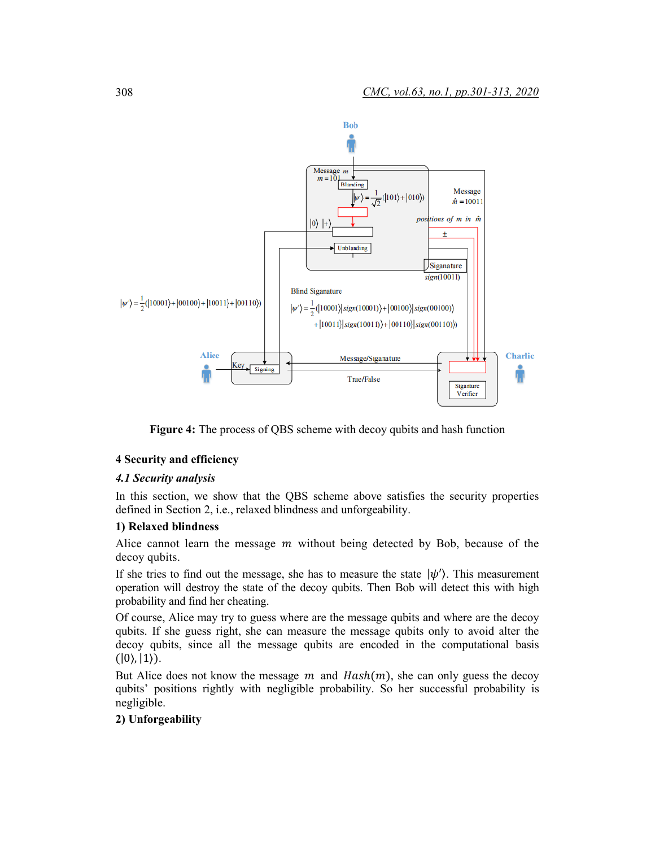

**Figure 4:** The process of QBS scheme with decoy qubits and hash function

# **4 Security and efficiency**

### *4.1 Security analysis*

In this section, we show that the QBS scheme above satisfies the security properties defined in Section 2, i.e., relaxed blindness and unforgeability.

## **1) Relaxed blindness**

Alice cannot learn the message  $m$  without being detected by Bob, because of the decoy qubits.

If she tries to find out the message, she has to measure the state  $|\psi'\rangle$ . This measurement operation will destroy the state of the decoy qubits. Then Bob will detect this with high probability and find her cheating.

Of course, Alice may try to guess where are the message qubits and where are the decoy qubits. If she guess right, she can measure the message qubits only to avoid alter the decoy qubits, since all the message qubits are encoded in the computational basis  $(|0\rangle, |1\rangle).$ 

But Alice does not know the message  $m$  and  $Hash(m)$ , she can only guess the decoy qubits' positions rightly with negligible probability. So her successful probability is negligible.

### **2) Unforgeability**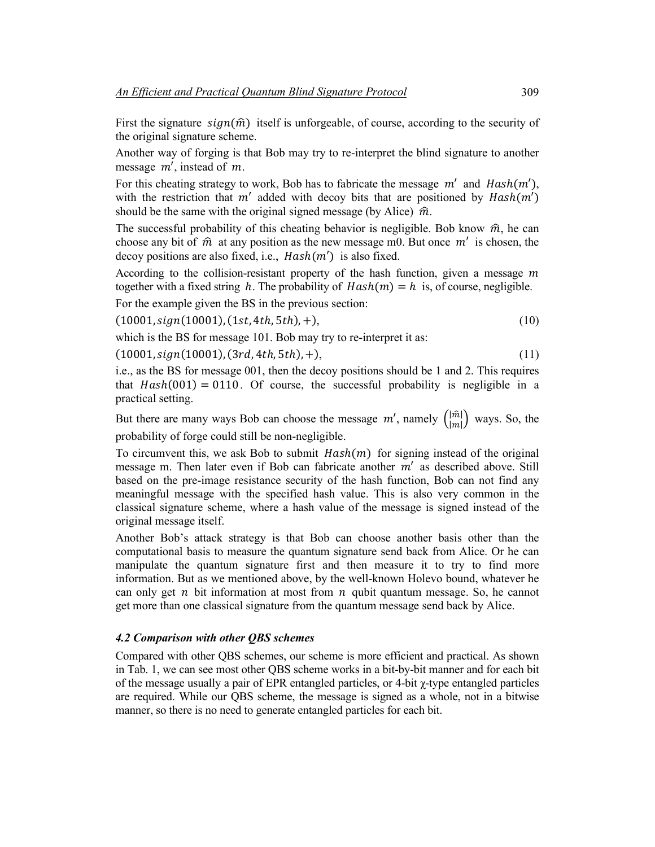First the signature  $sign(\hat{m})$  itself is unforgeable, of course, according to the security of the original signature scheme.

Another way of forging is that Bob may try to re-interpret the blind signature to another message  $m'$ , instead of  $m$ .

For this cheating strategy to work, Bob has to fabricate the message  $m'$  and  $Hash(m')$ , with the restriction that  $m'$  added with decoy bits that are positioned by  $Hash(m')$ should be the same with the original signed message (by Alice)  $\hat{m}$ .

The successful probability of this cheating behavior is negligible. Bob know  $\hat{m}$ , he can choose any bit of  $\hat{m}$  at any position as the new message m0. But once  $m'$  is chosen, the decoy positions are also fixed, i.e.,  $Hash(m')$  is also fixed.

According to the collision-resistant property of the hash function, given a message  $m$ together with a fixed string h. The probability of  $Hash(m) = h$  is, of course, negligible.

For the example given the BS in the previous section:

 $(10001, sign(10001), (1st, 4th, 5th), +),$  (10)

which is the BS for message 101. Bob may try to re-interpret it as:

 $(10001, sign(10001), (3rd, 4th, 5th), +),$  (11)

i.e., as the BS for message 001, then the decoy positions should be 1 and 2. This requires that  $Hash(001) = 0110$ . Of course, the successful probability is negligible in a practical setting.

But there are many ways Bob can choose the message  $m'$ , namely  $\binom{|m|}{|m|}$  ways. So, the probability of forge could still be non-negligible.

To circumvent this, we ask Bob to submit  $Hash(m)$  for signing instead of the original message m. Then later even if Bob can fabricate another  $m'$  as described above. Still based on the pre-image resistance security of the hash function, Bob can not find any meaningful message with the specified hash value. This is also very common in the classical signature scheme, where a hash value of the message is signed instead of the original message itself.

Another Bob's attack strategy is that Bob can choose another basis other than the computational basis to measure the quantum signature send back from Alice. Or he can manipulate the quantum signature first and then measure it to try to find more information. But as we mentioned above, by the well-known Holevo bound, whatever he can only get  $n$  bit information at most from  $n$  qubit quantum message. So, he cannot get more than one classical signature from the quantum message send back by Alice.

### *4.2 Comparison with other QBS schemes*

Compared with other QBS schemes, our scheme is more efficient and practical. As shown in Tab. 1, we can see most other QBS scheme works in a bit-by-bit manner and for each bit of the message usually a pair of EPR entangled particles, or 4-bit χ-type entangled particles are required. While our QBS scheme, the message is signed as a whole, not in a bitwise manner, so there is no need to generate entangled particles for each bit.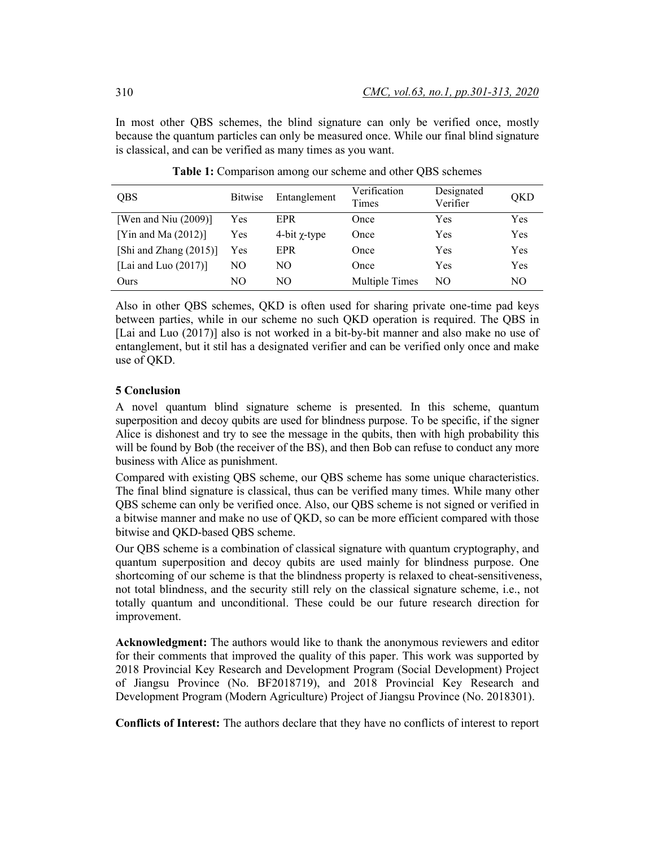In most other QBS schemes, the blind signature can only be verified once, mostly because the quantum particles can only be measured once. While our final blind signature is classical, and can be verified as many times as you want.

| <b>QBS</b>              | <b>Bitwise</b> | Entanglement       | Verification<br>Times | Designated<br>Verifier | QKD |
|-------------------------|----------------|--------------------|-----------------------|------------------------|-----|
| [Wen and Niu $(2009)$ ] | Yes            | <b>EPR</b>         | Once                  | Yes                    | Yes |
| [Yin and Ma $(2012)$ ]  | Yes            | 4-bit $\chi$ -type | Once                  | Yes                    | Yes |
| [Shi and Zhang (2015)]  | Yes            | EPR                | Once                  | Yes                    | Yes |
| [Lai and Luo $(2017)$ ] | NO             | NО                 | Once                  | Yes                    | Yes |
| Ours                    | NО             | NО                 | <b>Multiple Times</b> | NO                     | NO. |

**Table 1:** Comparison among our scheme and other QBS schemes

Also in other QBS schemes, QKD is often used for sharing private one-time pad keys between parties, while in our scheme no such QKD operation is required. The QBS in [Lai and Luo (2017)] also is not worked in a bit-by-bit manner and also make no use of entanglement, but it stil has a designated verifier and can be verified only once and make use of QKD.

# **5 Conclusion**

A novel quantum blind signature scheme is presented. In this scheme, quantum superposition and decoy qubits are used for blindness purpose. To be specific, if the signer Alice is dishonest and try to see the message in the qubits, then with high probability this will be found by Bob (the receiver of the BS), and then Bob can refuse to conduct any more business with Alice as punishment.

Compared with existing QBS scheme, our QBS scheme has some unique characteristics. The final blind signature is classical, thus can be verified many times. While many other QBS scheme can only be verified once. Also, our QBS scheme is not signed or verified in a bitwise manner and make no use of QKD, so can be more efficient compared with those bitwise and QKD-based QBS scheme.

Our QBS scheme is a combination of classical signature with quantum cryptography, and quantum superposition and decoy qubits are used mainly for blindness purpose. One shortcoming of our scheme is that the blindness property is relaxed to cheat-sensitiveness, not total blindness, and the security still rely on the classical signature scheme, i.e., not totally quantum and unconditional. These could be our future research direction for improvement.

**Acknowledgment:** The authors would like to thank the anonymous reviewers and editor for their comments that improved the quality of this paper. This work was supported by 2018 Provincial Key Research and Development Program (Social Development) Project of Jiangsu Province (No. BF2018719), and 2018 Provincial Key Research and Development Program (Modern Agriculture) Project of Jiangsu Province (No. 2018301).

**Conflicts of Interest:** The authors declare that they have no conflicts of interest to report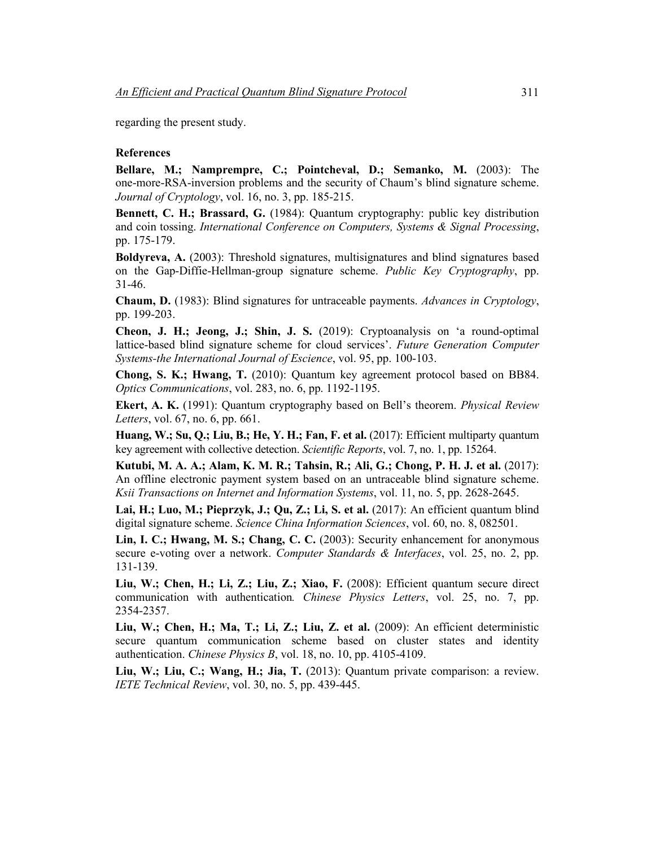regarding the present study.

#### **References**

**Bellare, M.; Namprempre, C.; Pointcheval, D.; Semanko, M.** (2003): The one-more-RSA-inversion problems and the security of Chaum's blind signature scheme. *Journal of Cryptology*, vol. 16, no. 3, pp. 185-215.

**Bennett, C. H.; Brassard, G.** (1984): Quantum cryptography: public key distribution and coin tossing. *International Conference on Computers, Systems & Signal Processing*, pp. 175-179.

**Boldyreva, A.** (2003): Threshold signatures, multisignatures and blind signatures based on the Gap-Diffie-Hellman-group signature scheme. *Public Key Cryptography*, pp. 31-46.

**Chaum, D.** (1983): Blind signatures for untraceable payments. *Advances in Cryptology*, pp. 199-203.

**Cheon, J. H.; Jeong, J.; Shin, J. S.** (2019): Cryptoanalysis on 'a round-optimal lattice-based blind signature scheme for cloud services'. *Future Generation Computer Systems-the International Journal of Escience*, vol. 95, pp. 100-103.

**Chong, S. K.; Hwang, T.** (2010): Quantum key agreement protocol based on BB84. *Optics Communications*, vol. 283, no. 6, pp. 1192-1195.

**Ekert, A. K.** (1991): Quantum cryptography based on Bell's theorem. *Physical Review Letters*, vol. 67, no. 6, pp. 661.

Huang, W.; Su, Q.; Liu, B.; He, Y. H.; Fan, F. et al. (2017): Efficient multiparty quantum key agreement with collective detection. *Scientific Reports*, vol. 7, no. 1, pp. 15264.

**Kutubi, M. A. A.; Alam, K. M. R.; Tahsin, R.; Ali, G.; Chong, P. H. J. et al.** (2017): An offline electronic payment system based on an untraceable blind signature scheme. *Ksii Transactions on Internet and Information Systems*, vol. 11, no. 5, pp. 2628-2645.

**Lai, H.; Luo, M.; Pieprzyk, J.; Qu, Z.; Li, S. et al.** (2017): An efficient quantum blind digital signature scheme. *Science China Information Sciences*, vol. 60, no. 8, 082501.

**Lin, I. C.; Hwang, M. S.; Chang, C. C.** (2003): Security enhancement for anonymous secure e-voting over a network. *Computer Standards & Interfaces*, vol. 25, no. 2, pp. 131-139.

**Liu, W.; Chen, H.; Li, Z.; Liu, Z.; Xiao, F.** (2008): Efficient quantum secure direct communication with authentication*. Chinese Physics Letters*, vol. 25, no. 7, pp. 2354-2357.

**Liu, W.; Chen, H.; Ma, T.; Li, Z.; Liu, Z. et al.** (2009): An efficient deterministic secure quantum communication scheme based on cluster states and identity authentication. *Chinese Physics B*, vol. 18, no. 10, pp. 4105-4109.

**Liu, W.; Liu, C.; Wang, H.; Jia, T.** (2013): Quantum private comparison: a review. *IETE Technical Review*, vol. 30, no. 5, pp. 439-445.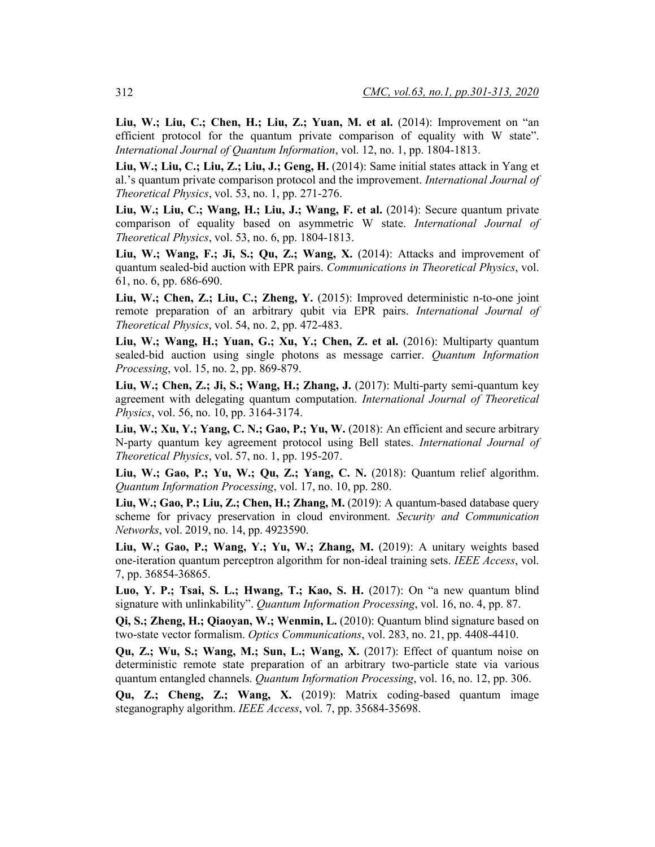**Liu, W.; Liu, C.; Chen, H.; Liu, Z.; Yuan, M. et al.** (2014): Improvement on "an efficient protocol for the quantum private comparison of equality with W state". *International Journal of Quantum Information*, vol. 12, no. 1, pp. 1804-1813.

**Liu, W.; Liu, C.; Liu, Z.; Liu, J.; Geng, H.** (2014): Same initial states attack in Yang et al.'s quantum private comparison protocol and the improvement. *International Journal of Theoretical Physics*, vol. 53, no. 1, pp. 271-276.

**Liu, W.; Liu, C.; Wang, H.; Liu, J.; Wang, F. et al.** (2014): Secure quantum private comparison of equality based on asymmetric W state. *International Journal of Theoretical Physics*, vol. 53, no. 6, pp. 1804-1813.

**Liu, W.; Wang, F.; Ji, S.; Qu, Z.; Wang, X.** (2014): Attacks and improvement of quantum sealed-bid auction with EPR pairs. *Communications in Theoretical Physics*, vol. 61, no. 6, pp. 686-690.

**Liu, W.; Chen, Z.; Liu, C.; Zheng, Y.** (2015): Improved deterministic n-to-one joint remote preparation of an arbitrary qubit via EPR pairs. *International Journal of Theoretical Physics*, vol. 54, no. 2, pp. 472-483.

**Liu, W.; Wang, H.; Yuan, G.; Xu, Y.; Chen, Z. et al.** (2016): Multiparty quantum sealed-bid auction using single photons as message carrier. *Quantum Information Processing*, vol. 15, no. 2, pp. 869-879.

**Liu, W.; Chen, Z.; Ji, S.; Wang, H.; Zhang, J.** (2017): Multi-party semi-quantum key agreement with delegating quantum computation. *International Journal of Theoretical Physics*, vol. 56, no. 10, pp. 3164-3174.

**Liu, W.; Xu, Y.; Yang, C. N.; Gao, P.; Yu, W.** (2018): An efficient and secure arbitrary N-party quantum key agreement protocol using Bell states. *International Journal of Theoretical Physics*, vol. 57, no. 1, pp. 195-207.

**Liu, W.; Gao, P.; Yu, W.; Qu, Z.; Yang, C. N.** (2018): Quantum relief algorithm. *Quantum Information Processing*, vol. 17, no. 10, pp. 280.

**Liu, W.; Gao, P.; Liu, Z.; Chen, H.; Zhang, M.** (2019): A quantum-based database query scheme for privacy preservation in cloud environment. *Security and Communication Networks*, vol. 2019, no. 14, pp. 4923590.

**Liu, W.; Gao, P.; Wang, Y.; Yu, W.; Zhang, M.** (2019): A unitary weights based one-iteration quantum perceptron algorithm for non-ideal training sets. *IEEE Access*, vol. 7, pp. 36854-36865.

**Luo, Y. P.; Tsai, S. L.; Hwang, T.; Kao, S. H.** (2017): On "a new quantum blind signature with unlinkability". *Quantum Information Processing*, vol. 16, no. 4, pp. 87.

**Qi, S.; Zheng, H.; Qiaoyan, W.; Wenmin, L.** (2010): Quantum blind signature based on two-state vector formalism. *Optics Communications*, vol. 283, no. 21, pp. 4408-4410.

**Qu, Z.; Wu, S.; Wang, M.; Sun, L.; Wang, X.** (2017): Effect of quantum noise on deterministic remote state preparation of an arbitrary two-particle state via various quantum entangled channels. *Quantum Information Processing*, vol. 16, no. 12, pp. 306.

**Qu, Z.; Cheng, Z.; Wang, X.** (2019): Matrix coding-based quantum image steganography algorithm. *IEEE Access*, vol. 7, pp. 35684-35698.